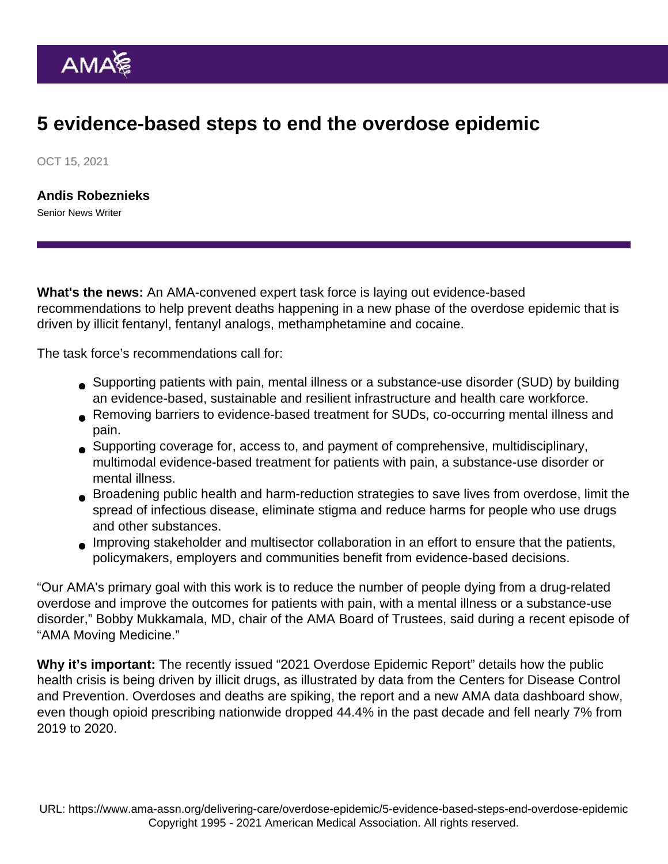## 5 evidence-based steps to end the overdose epidemic

OCT 15, 2021

[Andis Robeznieks](https://www.ama-assn.org/news-leadership-viewpoints/authors-news-leadership-viewpoints/andis-robeznieks) Senior News Writer

What's the news: An AMA-convened expert task force is laying out evidence-based recommendations to help prevent deaths happening in a new phase of the overdose epidemic that is driven by illicit fentanyl, fentanyl analogs, methamphetamine and cocaine.

The [task force's recommendations](https://end-overdose-epidemic.org/task-force-recommendations/) call for:

- Supporting patients with pain, mental illness or a substance-use disorder (SUD) by building an evidence-based, sustainable and resilient infrastructure and health care workforce.
- Removing barriers to evidence-based treatment for SUDs, co-occurring mental illness and pain.
- Supporting coverage for, access to, and payment of comprehensive, multidisciplinary, multimodal evidence-based treatment for patients with pain, a substance-use disorder or mental illness.
- Broadening public health and harm-reduction strategies to save lives from overdose, limit the spread of infectious disease, eliminate stigma and reduce harms for people who use drugs and other substances.
- Improving stakeholder and multisector collaboration in an effort to ensure that the patients, policymakers, employers and communities benefit from evidence-based decisions.

"Our AMA's primary goal with this work is to reduce the number of people dying from a drug-related overdose and improve the outcomes for patients with pain, with a mental illness or a substance-use disorder," [Bobby Mukkamala, MD](https://www.ama-assn.org/about/board-trustees/bobby-mukkamala-md), chair of the [AMA Board of Trustees](https://www.ama-assn.org/about/board-trustees/board-trustees-members), said [during a recent episode](https://www.ama-assn.org/delivering-care/overdose-epidemic/bobby-mukkamala-md-reviews-2021-overdose-epidemic-report) of ["AMA Moving Medicine](https://www.ama-assn.org/series/moving-medicine-video-series)."

Why it's important: The recently issued ["2021 Overdose Epidemic Report](https://www.ama-assn.org/delivering-care/overdose-epidemic/44-drop-opioid-rx-2011-overdoses-spike-here-s-why)" details how the public health crisis is being driven by illicit drugs, as illustrated by [data from the Centers for Disease Control](https://www.cdc.gov/nchs/nvss/vsrr/drug-overdose-data.htm) [and Prevention.](https://www.cdc.gov/nchs/nvss/vsrr/drug-overdose-data.htm) Overdoses and deaths are spiking, the report and a new [AMA data dashboard](https://end-overdose-epidemic.org/data-dashboard/) show, even though opioid prescribing nationwide dropped 44.4% in the past decade and fell nearly 7% from 2019 to 2020.